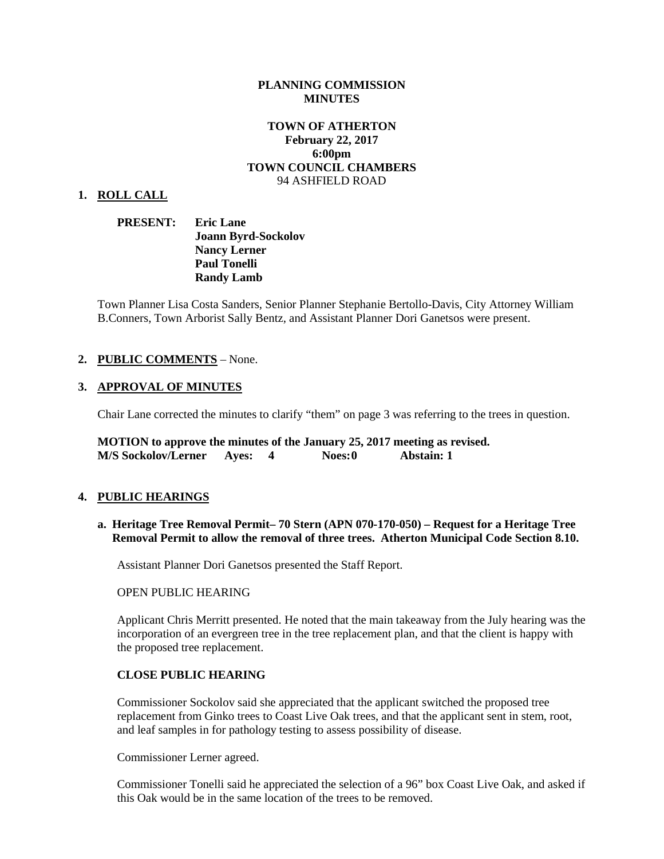#### **PLANNING COMMISSION MINUTES**

## **TOWN OF ATHERTON February 22, 2017 6:00pm TOWN COUNCIL CHAMBERS** 94 ASHFIELD ROAD

#### **1. ROLL CALL**

**PRESENT: Eric Lane Joann Byrd-Sockolov Nancy Lerner Paul Tonelli Randy Lamb**

Town Planner Lisa Costa Sanders, Senior Planner Stephanie Bertollo-Davis, City Attorney William B.Conners, Town Arborist Sally Bentz, and Assistant Planner Dori Ganetsos were present.

## **2. PUBLIC COMMENTS** – None.

## **3. APPROVAL OF MINUTES**

Chair Lane corrected the minutes to clarify "them" on page 3 was referring to the trees in question.

**MOTION to approve the minutes of the January 25, 2017 meeting as revised. M/S Sockolov/Lerner Ayes: 4 Noes:0 Abstain: 1**

## **4. PUBLIC HEARINGS**

**a. Heritage Tree Removal Permit– [70 Stern \(APN 070-170-050\)](http://ca-atherton.civicplus.com/DocumentCenter/View/3912) – Request for a Heritage Tree Removal Permit to allow the removal of three trees. Atherton Municipal Code Section 8.10.**

Assistant Planner Dori Ganetsos presented the Staff Report.

#### OPEN PUBLIC HEARING

Applicant Chris Merritt presented. He noted that the main takeaway from the July hearing was the incorporation of an evergreen tree in the tree replacement plan, and that the client is happy with the proposed tree replacement.

#### **CLOSE PUBLIC HEARING**

Commissioner Sockolov said she appreciated that the applicant switched the proposed tree replacement from Ginko trees to Coast Live Oak trees, and that the applicant sent in stem, root, and leaf samples in for pathology testing to assess possibility of disease.

Commissioner Lerner agreed.

Commissioner Tonelli said he appreciated the selection of a 96" box Coast Live Oak, and asked if this Oak would be in the same location of the trees to be removed.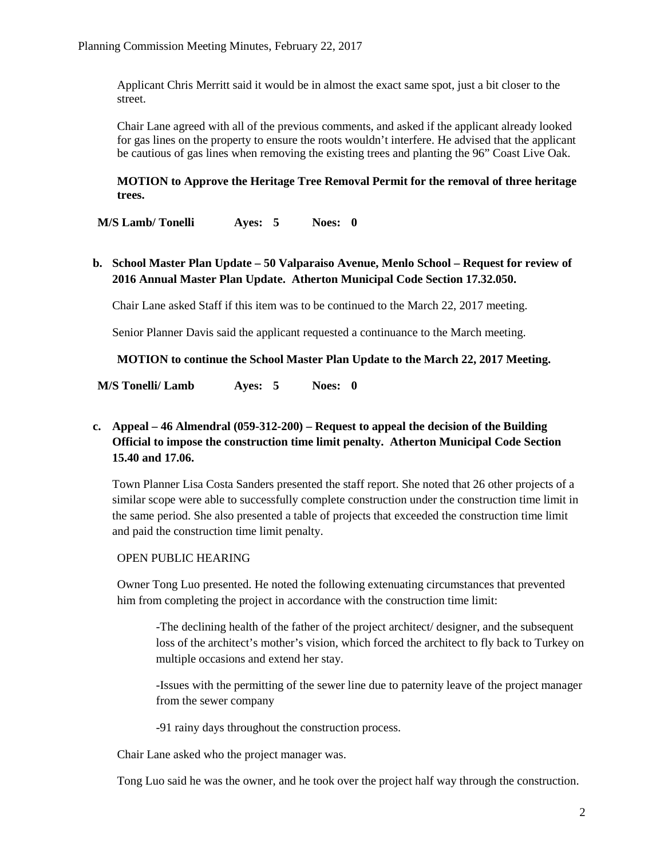Applicant Chris Merritt said it would be in almost the exact same spot, just a bit closer to the street.

Chair Lane agreed with all of the previous comments, and asked if the applicant already looked for gas lines on the property to ensure the roots wouldn't interfere. He advised that the applicant be cautious of gas lines when removing the existing trees and planting the 96" Coast Live Oak.

### **MOTION to Approve the Heritage Tree Removal Permit for the removal of three heritage trees.**

**M/S Lamb/ Tonelli Ayes: 5 Noes: 0**

**b. School Master Plan Update – 50 Valparaiso Avenue, Menlo School – Request for review of 2016 Annual Master Plan Update. Atherton Municipal Code Section 17.32.050.** 

Chair Lane asked Staff if this item was to be continued to the March 22, 2017 meeting.

Senior Planner Davis said the applicant requested a continuance to the March meeting.

**MOTION to continue the School Master Plan Update to the March 22, 2017 Meeting.**

**M/S Tonelli/ Lamb Ayes: 5 Noes: 0**

# **c. Appeal – [46 Almendral \(059-312-200\)](http://ca-atherton.civicplus.com/DocumentCenter/View/3910) – Request to appeal the decision of the Building Official to impose the construction time limit penalty. Atherton Municipal Code Section 15.40 and 17.06.**

Town Planner Lisa Costa Sanders presented the staff report. She noted that 26 other projects of a similar scope were able to successfully complete construction under the construction time limit in the same period. She also presented a table of projects that exceeded the construction time limit and paid the construction time limit penalty.

## OPEN PUBLIC HEARING

Owner Tong Luo presented. He noted the following extenuating circumstances that prevented him from completing the project in accordance with the construction time limit:

-The declining health of the father of the project architect/ designer, and the subsequent loss of the architect's mother's vision, which forced the architect to fly back to Turkey on multiple occasions and extend her stay.

-Issues with the permitting of the sewer line due to paternity leave of the project manager from the sewer company

-91 rainy days throughout the construction process.

Chair Lane asked who the project manager was.

Tong Luo said he was the owner, and he took over the project half way through the construction.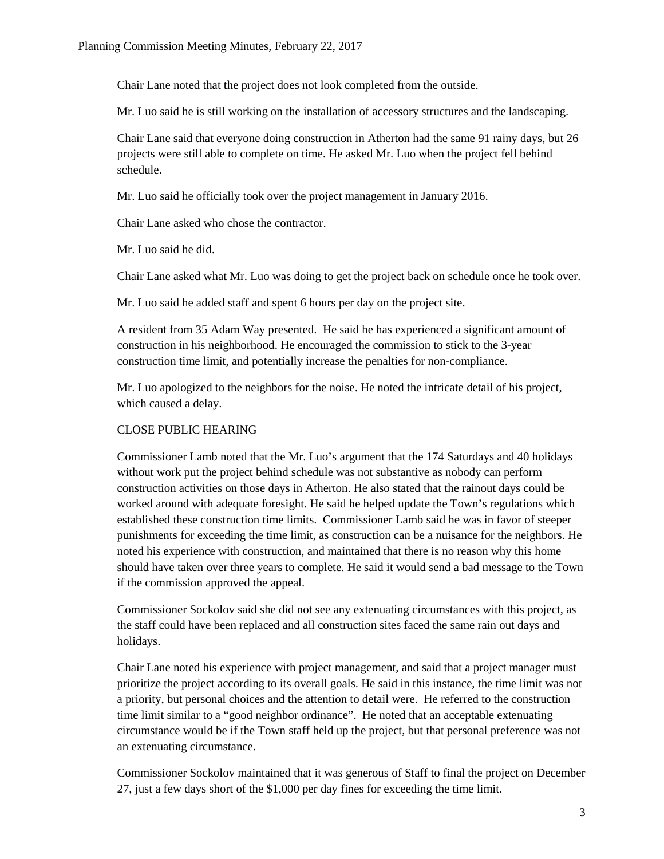Chair Lane noted that the project does not look completed from the outside.

Mr. Luo said he is still working on the installation of accessory structures and the landscaping.

Chair Lane said that everyone doing construction in Atherton had the same 91 rainy days, but 26 projects were still able to complete on time. He asked Mr. Luo when the project fell behind schedule.

Mr. Luo said he officially took over the project management in January 2016.

Chair Lane asked who chose the contractor.

Mr. Luo said he did.

Chair Lane asked what Mr. Luo was doing to get the project back on schedule once he took over.

Mr. Luo said he added staff and spent 6 hours per day on the project site.

A resident from 35 Adam Way presented. He said he has experienced a significant amount of construction in his neighborhood. He encouraged the commission to stick to the 3-year construction time limit, and potentially increase the penalties for non-compliance.

Mr. Luo apologized to the neighbors for the noise. He noted the intricate detail of his project, which caused a delay.

## CLOSE PUBLIC HEARING

Commissioner Lamb noted that the Mr. Luo's argument that the 174 Saturdays and 40 holidays without work put the project behind schedule was not substantive as nobody can perform construction activities on those days in Atherton. He also stated that the rainout days could be worked around with adequate foresight. He said he helped update the Town's regulations which established these construction time limits. Commissioner Lamb said he was in favor of steeper punishments for exceeding the time limit, as construction can be a nuisance for the neighbors. He noted his experience with construction, and maintained that there is no reason why this home should have taken over three years to complete. He said it would send a bad message to the Town if the commission approved the appeal.

Commissioner Sockolov said she did not see any extenuating circumstances with this project, as the staff could have been replaced and all construction sites faced the same rain out days and holidays.

Chair Lane noted his experience with project management, and said that a project manager must prioritize the project according to its overall goals. He said in this instance, the time limit was not a priority, but personal choices and the attention to detail were. He referred to the construction time limit similar to a "good neighbor ordinance". He noted that an acceptable extenuating circumstance would be if the Town staff held up the project, but that personal preference was not an extenuating circumstance.

Commissioner Sockolov maintained that it was generous of Staff to final the project on December 27, just a few days short of the \$1,000 per day fines for exceeding the time limit.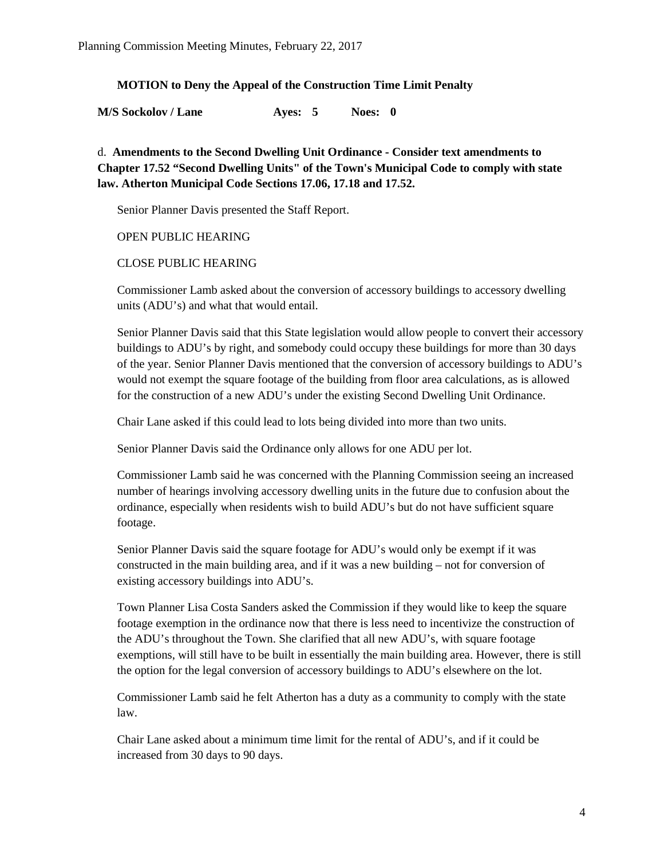## **MOTION to Deny the Appeal of the Construction Time Limit Penalty**

**M/S Sockolov / Lane Ayes: 5 Noes: 0**

d. **Amendments to the [Second Dwelling Unit Ordinance](http://ca-atherton.civicplus.com/DocumentCenter/View/3909) - Consider text amendments to Chapter 17.52 "Second Dwelling Units" of the Town's Municipal Code to comply with state law. Atherton Municipal Code Sections 17.06, 17.18 and 17.52.**

Senior Planner Davis presented the Staff Report.

OPEN PUBLIC HEARING

## CLOSE PUBLIC HEARING

Commissioner Lamb asked about the conversion of accessory buildings to accessory dwelling units (ADU's) and what that would entail.

Senior Planner Davis said that this State legislation would allow people to convert their accessory buildings to ADU's by right, and somebody could occupy these buildings for more than 30 days of the year. Senior Planner Davis mentioned that the conversion of accessory buildings to ADU's would not exempt the square footage of the building from floor area calculations, as is allowed for the construction of a new ADU's under the existing Second Dwelling Unit Ordinance.

Chair Lane asked if this could lead to lots being divided into more than two units.

Senior Planner Davis said the Ordinance only allows for one ADU per lot.

Commissioner Lamb said he was concerned with the Planning Commission seeing an increased number of hearings involving accessory dwelling units in the future due to confusion about the ordinance, especially when residents wish to build ADU's but do not have sufficient square footage.

Senior Planner Davis said the square footage for ADU's would only be exempt if it was constructed in the main building area, and if it was a new building – not for conversion of existing accessory buildings into ADU's.

Town Planner Lisa Costa Sanders asked the Commission if they would like to keep the square footage exemption in the ordinance now that there is less need to incentivize the construction of the ADU's throughout the Town. She clarified that all new ADU's, with square footage exemptions, will still have to be built in essentially the main building area. However, there is still the option for the legal conversion of accessory buildings to ADU's elsewhere on the lot.

Commissioner Lamb said he felt Atherton has a duty as a community to comply with the state law.

Chair Lane asked about a minimum time limit for the rental of ADU's, and if it could be increased from 30 days to 90 days.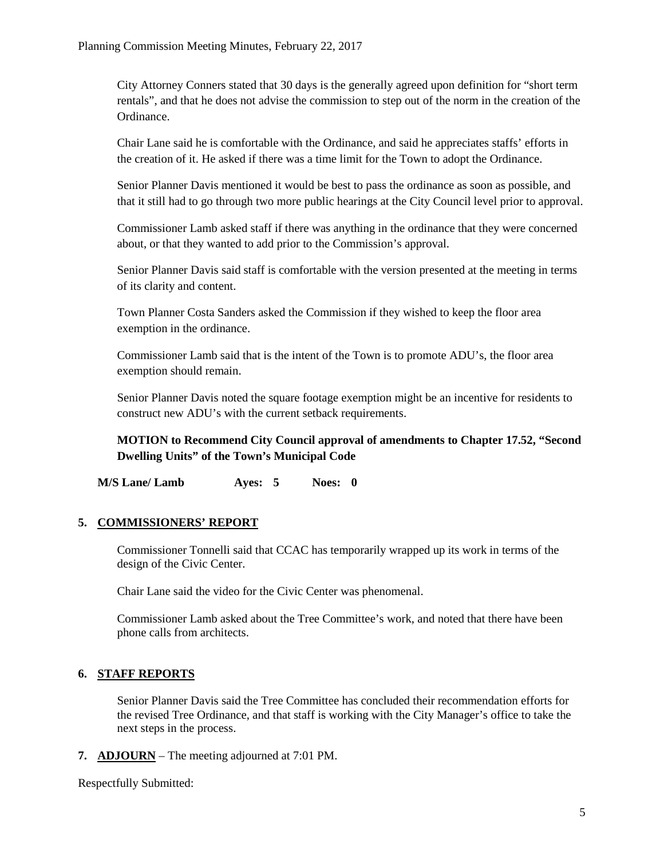City Attorney Conners stated that 30 days is the generally agreed upon definition for "short term rentals", and that he does not advise the commission to step out of the norm in the creation of the Ordinance.

Chair Lane said he is comfortable with the Ordinance, and said he appreciates staffs' efforts in the creation of it. He asked if there was a time limit for the Town to adopt the Ordinance.

Senior Planner Davis mentioned it would be best to pass the ordinance as soon as possible, and that it still had to go through two more public hearings at the City Council level prior to approval.

Commissioner Lamb asked staff if there was anything in the ordinance that they were concerned about, or that they wanted to add prior to the Commission's approval.

Senior Planner Davis said staff is comfortable with the version presented at the meeting in terms of its clarity and content.

Town Planner Costa Sanders asked the Commission if they wished to keep the floor area exemption in the ordinance.

Commissioner Lamb said that is the intent of the Town is to promote ADU's, the floor area exemption should remain.

Senior Planner Davis noted the square footage exemption might be an incentive for residents to construct new ADU's with the current setback requirements.

**MOTION to Recommend City Council approval of amendments to Chapter 17.52, "Second Dwelling Units" of the Town's Municipal Code**

**M/S Lane/ Lamb Ayes: 5 Noes: 0**

# **5. COMMISSIONERS' REPORT**

Commissioner Tonnelli said that CCAC has temporarily wrapped up its work in terms of the design of the Civic Center.

Chair Lane said the video for the Civic Center was phenomenal.

Commissioner Lamb asked about the Tree Committee's work, and noted that there have been phone calls from architects.

# **6. STAFF REPORTS**

Senior Planner Davis said the Tree Committee has concluded their recommendation efforts for the revised Tree Ordinance, and that staff is working with the City Manager's office to take the next steps in the process.

**7. ADJOURN** – The meeting adjourned at 7:01 PM.

Respectfully Submitted: